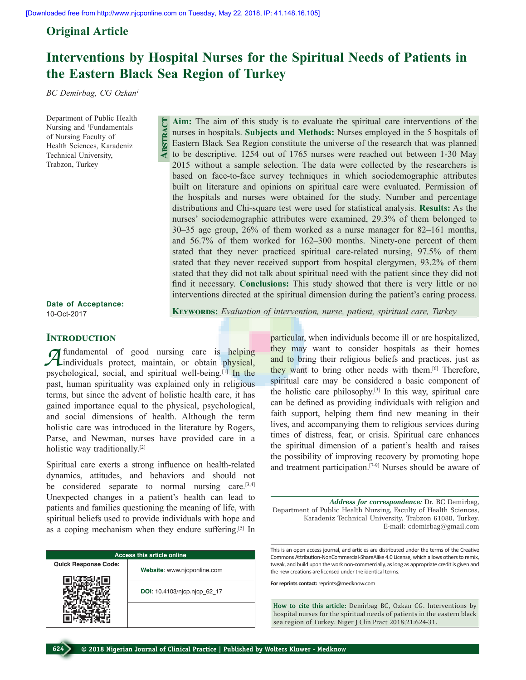**Abstract**

## **Original Article**

## **Interventions by Hospital Nurses for the Spiritual Needs of Patients in the Eastern Black Sea Region of Turkey**

*BC Demirbag, CG Ozkan1*

Department of Public Health Nursing and <sup>1</sup>Fundamentals of Nursing Faculty of Health Sciences, Karadeniz Technical University, Trabzon, Turkey

**Aim:** The aim of this study is to evaluate the spiritual care interventions of the nurses in hospitals. **Subjects and Methods:** Nurses employed in the 5 hospitals of Eastern Black Sea Region constitute the universe of the research that was planned to be descriptive. 1254 out of 1765 nurses were reached out between 1-30 May 2015 without a sample selection. The data were collected by the researchers is based on face-to-face survey techniques in which sociodemographic attributes built on literature and opinions on spiritual care were evaluated. Permission of the hospitals and nurses were obtained for the study. Number and percentage distributions and Chi-square test were used for statistical analysis. **Results:** As the nurses' sociodemographic attributes were examined, 29.3% of them belonged to 30–35 age group, 26% of them worked as a nurse manager for 82–161 months, and 56.7% of them worked for 162–300 months. Ninety-one percent of them stated that they never practiced spiritual care-related nursing, 97.5% of them stated that they never received support from hospital clergymen, 93.2% of them stated that they did not talk about spiritual need with the patient since they did not find it necessary. **Conclusions:** This study showed that there is very little or no interventions directed at the spiritual dimension during the patient's caring process.

**Date of Acceptance:** 10-Oct-2017

**Keywords:** *Evaluation of intervention, nurse, patient, spiritual care, Turkey*

#### **INTRODUCTION**

*A*fundamental of good nursing care is helping individuals protect, maintain, or obtain physical, psychological, social, and spiritual well-being.[1] In the past, human spirituality was explained only in religious terms, but since the advent of holistic health care, it has gained importance equal to the physical, psychological, and social dimensions of health. Although the term holistic care was introduced in the literature by Rogers, Parse, and Newman, nurses have provided care in a holistic way traditionally.<sup>[2]</sup>

Spiritual care exerts a strong influence on health-related dynamics, attitudes, and behaviors and should not be considered separate to normal nursing care.<sup>[3,4]</sup> Unexpected changes in a patient's health can lead to patients and families questioning the meaning of life, with spiritual beliefs used to provide individuals with hope and as a coping mechanism when they endure suffering.[5] In

|                             | <b>Access this article online</b> |
|-----------------------------|-----------------------------------|
| <b>Quick Response Code:</b> | Website: www.njcponline.com       |
|                             | DOI: 10.4103/njcp.njcp 62 17      |
|                             |                                   |

particular, when individuals become ill or are hospitalized, they may want to consider hospitals as their homes and to bring their religious beliefs and practices, just as they want to bring other needs with them.<sup>[6]</sup> Therefore, spiritual care may be considered a basic component of the holistic care philosophy.[3] In this way, spiritual care can be defined as providing individuals with religion and faith support, helping them find new meaning in their lives, and accompanying them to religious services during times of distress, fear, or crisis. Spiritual care enhances the spiritual dimension of a patient's health and raises the possibility of improving recovery by promoting hope and treatment participation.[7-9] Nurses should be aware of

*Address for correspondence:* Dr. BC Demirbag, Department of Public Health Nursing, Faculty of Health Sciences, Karadeniz Technical University, Trabzon 61080, Turkey. E-mail: cdemirbag@gmail.com

This is an open access journal, and articles are distributed under the terms of the Creative Commons Attribution-NonCommercial-ShareAlike 4.0 License, which allows others to remix, tweak, and build upon the work non-commercially, as long as appropriate credit is given and the new creations are licensed under the identical terms.

**For reprints contact:** reprints@medknow.com

**How to cite this article:** Demirbag BC, Ozkan CG. Interventions by hospital nurses for the spiritual needs of patients in the eastern black sea region of Turkey. Niger J Clin Pract 2018;21:624-31.

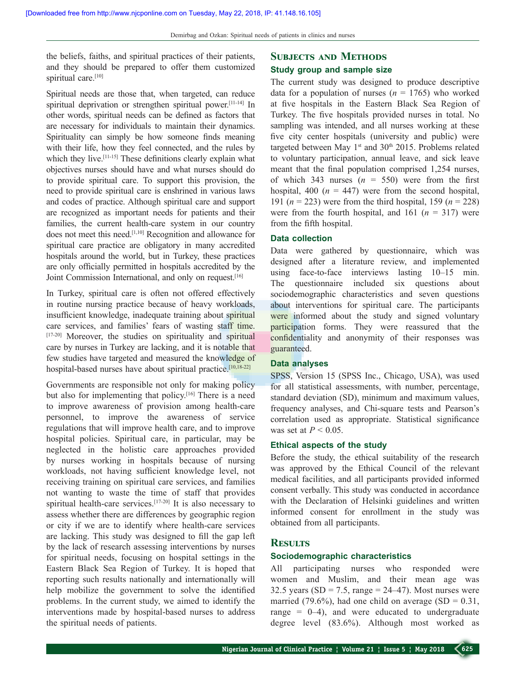the beliefs, faiths, and spiritual practices of their patients, and they should be prepared to offer them customized spiritual care.<sup>[10]</sup>

Spiritual needs are those that, when targeted, can reduce spiritual deprivation or strengthen spiritual power.<sup>[11-14]</sup> In other words, spiritual needs can be defined as factors that are necessary for individuals to maintain their dynamics. Spirituality can simply be how someone finds meaning with their life, how they feel connected, and the rules by which they live.<sup>[11-15]</sup> These definitions clearly explain what objectives nurses should have and what nurses should do to provide spiritual care. To support this provision, the need to provide spiritual care is enshrined in various laws and codes of practice. Although spiritual care and support are recognized as important needs for patients and their families, the current health-care system in our country does not meet this need.[1,10] Recognition and allowance for spiritual care practice are obligatory in many accredited hospitals around the world, but in Turkey, these practices are only officially permitted in hospitals accredited by the Joint Commission International, and only on request.<sup>[16]</sup>

In Turkey, spiritual care is often not offered effectively in routine nursing practice because of heavy workloads, insufficient knowledge, inadequate training about spiritual care services, and families' fears of wasting staff time. [17-20] Moreover, the studies on spirituality and spiritual care by nurses in Turkey are lacking, and it is notable that few studies have targeted and measured the knowledge of hospital-based nurses have about spiritual practice.<sup>[10,18-22]</sup>

Governments are responsible not only for making policy but also for implementing that policy.[16] There is a need to improve awareness of provision among health-care personnel, to improve the awareness of service regulations that will improve health care, and to improve hospital policies. Spiritual care, in particular, may be neglected in the holistic care approaches provided by nurses working in hospitals because of nursing workloads, not having sufficient knowledge level, not receiving training on spiritual care services, and families not wanting to waste the time of staff that provides spiritual health-care services.<sup>[17-20]</sup> It is also necessary to assess whether there are differences by geographic region or city if we are to identify where health-care services are lacking. This study was designed to fill the gap left by the lack of research assessing interventions by nurses for spiritual needs, focusing on hospital settings in the Eastern Black Sea Region of Turkey. It is hoped that reporting such results nationally and internationally will help mobilize the government to solve the identified problems. In the current study, we aimed to identify the interventions made by hospital-based nurses to address the spiritual needs of patients.

# **Subjects and Methods**

## **Study group and sample size**

The current study was designed to produce descriptive data for a population of nurses  $(n = 1765)$  who worked at five hospitals in the Eastern Black Sea Region of Turkey. The five hospitals provided nurses in total. No sampling was intended, and all nurses working at these five city center hospitals (university and public) were targeted between May  $1<sup>st</sup>$  and  $30<sup>th</sup>$  2015. Problems related to voluntary participation, annual leave, and sick leave meant that the final population comprised 1,254 nurses, of which 343 nurses  $(n = 550)$  were from the first hospital, 400 ( $n = 447$ ) were from the second hospital, 191 (*n* = 223) were from the third hospital, 159 (*n* = 228) were from the fourth hospital, and 161  $(n = 317)$  were from the fifth hospital.

#### **Data collection**

Data were gathered by questionnaire, which was designed after a literature review, and implemented using face-to-face interviews lasting 10–15 min. The questionnaire included six questions about sociodemographic characteristics and seven questions about interventions for spiritual care. The participants were informed about the study and signed voluntary participation forms. They were reassured that the confidentiality and anonymity of their responses was guaranteed.

## **Data analyses**

SPSS, Version 15 (SPSS Inc., Chicago, USA), was used for all statistical assessments, with number, percentage, standard deviation (SD), minimum and maximum values, frequency analyses, and Chi-square tests and Pearson's correlation used as appropriate. Statistical significance was set at *P* < 0.05.

#### **Ethical aspects of the study**

Before the study, the ethical suitability of the research was approved by the Ethical Council of the relevant medical facilities, and all participants provided informed consent verbally. This study was conducted in accordance with the Declaration of Helsinki guidelines and written informed consent for enrollment in the study was obtained from all participants.

## **Results**

#### **Sociodemographic characteristics**

All participating nurses who responded were women and Muslim, and their mean age was 32.5 years (SD = 7.5, range =  $24-47$ ). Most nurses were married (79.6%), had one child on average (SD =  $0.31$ , range  $= 0-4$ ), and were educated to undergraduate degree level (83.6%). Although most worked as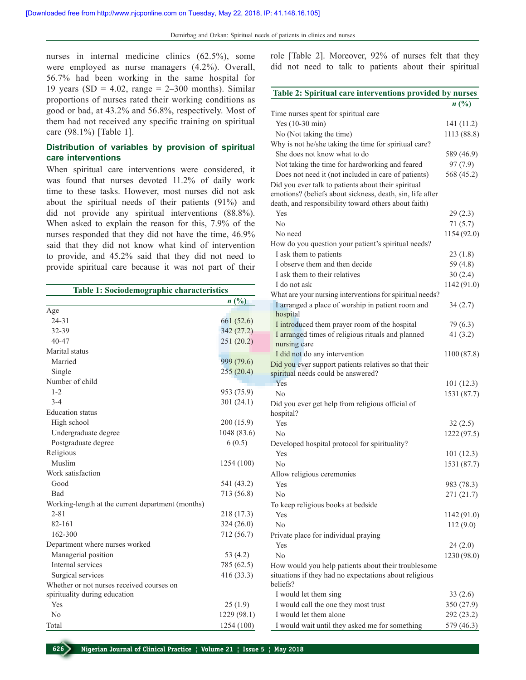nurses in internal medicine clinics (62.5%), some were employed as nurse managers (4.2%). Overall, 56.7% had been working in the same hospital for 19 years (SD =  $4.02$ , range =  $2-300$  months). Similar proportions of nurses rated their working conditions as good or bad, at 43.2% and 56.8%, respectively. Most of them had not received any specific training on spiritual care (98.1%) [Table 1].

## **Distribution of variables by provision of spiritual care interventions**

When spiritual care interventions were considered, it was found that nurses devoted 11.2% of daily work time to these tasks. However, most nurses did not ask about the spiritual needs of their patients (91%) and did not provide any spiritual interventions (88.8%). When asked to explain the reason for this, 7.9% of the nurses responded that they did not have the time, 46.9% said that they did not know what kind of intervention to provide, and 45.2% said that they did not need to provide spiritual care because it was not part of their

| Table 1: Sociodemographic characteristics         |             |
|---------------------------------------------------|-------------|
|                                                   | n(%)        |
| Age                                               |             |
| $24 - 31$                                         | 661 (52.6)  |
| 32-39                                             | 342 (27.2)  |
| 40-47                                             | 251 (20.2)  |
| Marital status                                    |             |
| Married                                           | 999 (79.6)  |
| Single                                            | 255(20.4)   |
| Number of child                                   |             |
| $1 - 2$                                           | 953 (75.9)  |
| $3 - 4$                                           | 301 (24.1)  |
| <b>Education</b> status                           |             |
| High school                                       | 200 (15.9)  |
| Undergraduate degree                              | 1048 (83.6) |
| Postgraduate degree                               | 6(0.5)      |
| Religious                                         |             |
| Muslim                                            | 1254 (100)  |
| Work satisfaction                                 |             |
| Good                                              | 541 (43.2)  |
| <b>Bad</b>                                        | 713 (56.8)  |
| Working-length at the current department (months) |             |
| $2 - 81$                                          | 218 (17.3)  |
| 82-161                                            | 324(26.0)   |
| 162-300                                           | 712 (56.7)  |
| Department where nurses worked                    |             |
| Managerial position                               | 53 (4.2)    |
| Internal services                                 | 785 (62.5)  |
| Surgical services                                 | 416 (33.3)  |
| Whether or not nurses received courses on         |             |
| spirituality during education                     |             |
| Yes                                               | 25(1.9)     |
| N <sub>0</sub>                                    | 1229 (98.1) |
| Total                                             | 1254 (100)  |

role [Table 2]. Moreover, 92% of nurses felt that they did not need to talk to patients about their spiritual

| Table 2: Spiritual care interventions provided by nurses                                                                                                                 |                        |
|--------------------------------------------------------------------------------------------------------------------------------------------------------------------------|------------------------|
|                                                                                                                                                                          | n(%)                   |
| Time nurses spent for spiritual care                                                                                                                                     |                        |
| Yes (10-30 min)                                                                                                                                                          | 141 (11.2)             |
| No (Not taking the time)                                                                                                                                                 | 1113 (88.8)            |
| Why is not he/she taking the time for spiritual care?                                                                                                                    |                        |
| She does not know what to do                                                                                                                                             | 589 (46.9)             |
| Not taking the time for hardworking and feared                                                                                                                           | 97(7.9)                |
| Does not need it (not included in care of patients)                                                                                                                      | 568 (45.2)             |
| Did you ever talk to patients about their spiritual<br>emotions? (beliefs about sickness, death, sin, life after<br>death, and responsibility toward others about faith) |                        |
| Yes                                                                                                                                                                      | 29(2.3)                |
| No                                                                                                                                                                       |                        |
| No need                                                                                                                                                                  | 71(5.7)<br>1154 (92.0) |
|                                                                                                                                                                          |                        |
| How do you question your patient's spiritual needs?<br>I ask them to patients                                                                                            | 23(1.8)                |
| I observe them and then decide                                                                                                                                           | 59 (4.8)               |
| I ask them to their relatives                                                                                                                                            |                        |
| I do not ask                                                                                                                                                             | 30(2.4)<br>1142 (91.0) |
|                                                                                                                                                                          |                        |
| What are your nursing interventions for spiritual needs?<br>I arranged a place of worship in patient room and                                                            | 34(2.7)                |
| hospital                                                                                                                                                                 |                        |
| I introduced them prayer room of the hospital                                                                                                                            | 79 (6.3)               |
| I arranged times of religious rituals and planned<br>nursing care                                                                                                        | 41 $(3.2)$             |
| I did not do any intervention                                                                                                                                            | 1100 (87.8)            |
| Did you ever support patients relatives so that their                                                                                                                    |                        |
| spiritual needs could be answered?                                                                                                                                       |                        |
| Yes                                                                                                                                                                      | 101(12.3)              |
| No                                                                                                                                                                       | 1531 (87.7)            |
| Did you ever get help from religious official of                                                                                                                         |                        |
| hospital?                                                                                                                                                                |                        |
| Yes                                                                                                                                                                      | 32(2.5)                |
| N <sub>0</sub>                                                                                                                                                           | 1222 (97.5)            |
| Developed hospital protocol for spirituality?                                                                                                                            |                        |
| Yes                                                                                                                                                                      | 101(12.3)              |
| No                                                                                                                                                                       | 1531 (87.7)            |
| Allow religious ceremonies                                                                                                                                               |                        |
| Yes                                                                                                                                                                      | 983 (78.3)             |
| N <sub>0</sub>                                                                                                                                                           | 271 (21.7)             |
| To keep religious books at bedside                                                                                                                                       |                        |
| Yes                                                                                                                                                                      | 1142 (91.0)            |
| N <sub>0</sub>                                                                                                                                                           | 112(9.0)               |
| Private place for individual praying                                                                                                                                     |                        |
| Yes                                                                                                                                                                      | 24 (2.0)               |
| No                                                                                                                                                                       | 1230 (98.0)            |
| How would you help patients about their troublesome                                                                                                                      |                        |
| situations if they had no expectations about religious                                                                                                                   |                        |
| beliefs?                                                                                                                                                                 |                        |
| I would let them sing                                                                                                                                                    | 33(2.6)                |
| I would call the one they most trust                                                                                                                                     | 350 (27.9)             |
| I would let them alone                                                                                                                                                   | 292 (23.2)             |
| I would wait until they asked me for something                                                                                                                           | 579 (46.3)             |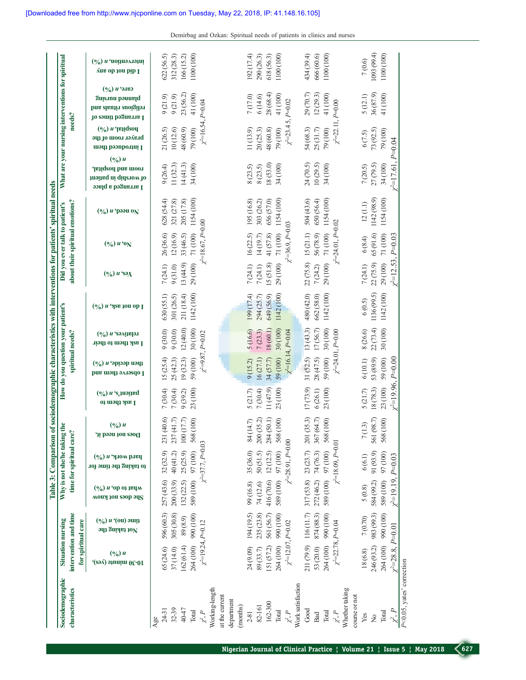Demirbag and Ozkan: Spiritual needs of patients in clinics and nurses

|                           |                                             |                                              |                                                           | Table 3: Comparison                                    |                                        |                                              |                                                  |                                                            | of sociodemographic characteristics with interventions for patients' spiritual needs |                              |                                 |                                         |                                                                                        |                                                                           |                                                                                               |                                                           |
|---------------------------|---------------------------------------------|----------------------------------------------|-----------------------------------------------------------|--------------------------------------------------------|----------------------------------------|----------------------------------------------|--------------------------------------------------|------------------------------------------------------------|--------------------------------------------------------------------------------------|------------------------------|---------------------------------|-----------------------------------------|----------------------------------------------------------------------------------------|---------------------------------------------------------------------------|-----------------------------------------------------------------------------------------------|-----------------------------------------------------------|
| Sociodemographic          | Situation nursing                           |                                              |                                                           | Why is not she/he taking the                           |                                        |                                              | How do you question your patient's               |                                                            |                                                                                      |                              | Did you ever talk to patient's  |                                         |                                                                                        |                                                                           | What are your nursing interventions for spiritual                                             |                                                           |
| characteristics           | intervention and time<br>for spiritual care |                                              |                                                           | time for spiritual care?                               |                                        |                                              |                                                  | spiritual needs?                                           |                                                                                      |                              | about their spiritual emotions? |                                         |                                                                                        |                                                                           | needs?                                                                                        |                                                           |
|                           | $(\frac{0}{0})$ u<br>10-30 minute (yes),    | $(\frac{6}{6}) u (0u)$ aun<br>Mot taking the | $(\frac{6}{6})$ <i>u</i> 'op oi jeym<br>MOUY JOU SOOP OUS | $(\frac{6}{6})$ и 'ялом рлец<br>to taking the time for | $(\frac{6}{6})$ u<br>Does not need it. | $(\frac{6}{6}) u$ 's juaned<br>I ask them to | then decide, $n(\sqrt{6})$<br>I observe them and | $(\frac{6}{6})$ <i>u</i> 'səvinalən<br>I ask them to their | $(\frac{6}{6})$ <i>u</i> 'yse tou op I                                               | $(\frac{6}{6}) u$ 'sə $\chi$ | $(\frac{6}{6}) u \cdot o_N$     | $(\frac{6}{6}) u$ рээи о $\overline{N}$ | $(\frac{6}{6}) u$<br>room and hospital,<br>of worship in patient<br>1 агтапgед а ріасе | $(\gamma_0)$ <i>u</i> 'paidsou<br>ргаует гоот оf the<br>циоци рээпролин р | сяьс <sup>, и (9/0</sup> )<br>Suisnua bonnald<br>bns slauiri auoigilor<br>Io eomii bognerna I | $(\frac{6}{6})$ и 'иоџиәлләдиі<br><b>Aug op tou bib I</b> |
| $24-31$<br>Age            | 65(24.6)                                    | 596 (60.3)                                   | 257 (43.6)                                                | 32(32.9)                                               | (40.6)<br>231                          | 7 (30.4)                                     | 15(25.4)                                         | 9(30.0)                                                    | 630(55.1)                                                                            | 7(24.1)                      | 26(36.6)                        | 628(54.4)                               | 9(26.4)                                                                                | 21 (26.5)                                                                 | 9(21.9)                                                                                       | 622(56.5)                                                 |
| $32 - 39$                 | 37 (14.0)                                   | 305 (30.8)                                   | 200(33.9)                                                 | 40(41.2)                                               | (41.7)<br>237                          | 7 (30.4)                                     | 25(42.3)                                         | 9(30.0)                                                    | 301 (26.5)                                                                           | 9(31.0)                      | 12(16.9)                        | 321 (27.8)                              | 11(32.3)                                                                               | 10(12.6)                                                                  | 9(21.9)                                                                                       | 312 (28.3)                                                |
| 40-47                     | 162(61.4)                                   | 89 (8.9)                                     | 132 (22.5)                                                | 25 (25.9)                                              | (17.7)<br>$100\,$                      | 9(39.2)                                      | 19(32.3)                                         | 12(40.0)                                                   | 211 (18.4)                                                                           | 13(44.9)                     | 33 (46.5)                       | 205 (17.8)                              | 14(41.3)                                                                               | 48 (60.9)                                                                 | 23 (56.2)                                                                                     | 166 (15.2)                                                |
| Total                     | 264 (100)                                   | 990 (100)                                    | 589 (100) 97 (100)                                        |                                                        | (100)<br>568                           | 23 (100)                                     | 59 (100)                                         | 30(100)                                                    | 1142 (100)                                                                           | 29 (100)                     | 71(100)                         | 1154 (100)                              | 34 (100)                                                                               | 79 (100)                                                                  | 41 (100)                                                                                      | 1100 (100)                                                |
| $\chi^2, P$               | $\chi^2$ =19.24, P=0.12                     |                                              |                                                           | $\chi^2 = 37.7, P = 0.03$                              |                                        |                                              |                                                  | $\chi^2 = 9.87, P = 0.02$                                  |                                                                                      |                              | $\chi^2$ =18.67, P=0.00         |                                         |                                                                                        |                                                                           | $\chi^2 = 16.54, P = 0.04$                                                                    |                                                           |
| Working-length            |                                             |                                              |                                                           |                                                        |                                        |                                              |                                                  |                                                            |                                                                                      |                              |                                 |                                         |                                                                                        |                                                                           |                                                                                               |                                                           |
| at the current            |                                             |                                              |                                                           |                                                        |                                        |                                              |                                                  |                                                            |                                                                                      |                              |                                 |                                         |                                                                                        |                                                                           |                                                                                               |                                                           |
| department<br>(months)    |                                             |                                              |                                                           |                                                        |                                        |                                              |                                                  |                                                            |                                                                                      |                              |                                 |                                         |                                                                                        |                                                                           |                                                                                               |                                                           |
| $2-81$                    | 24 (9.09)                                   | 194 (19.5)                                   | 99 (16.8)                                                 | 35 (36.0)                                              | (14.7)<br>$\frac{84}{3}$               | 5(21.7)                                      | 9(15.2)                                          | 5 (16.6)                                                   | 199 (17.4)                                                                           | 7(24.1)                      | 16(22.5)                        | 195 (16.8)                              | 8 (23.5)                                                                               | 11(13.9)                                                                  | 7(17.0)                                                                                       | 192 (17.4)                                                |
| 82-161                    | 89 (33.7)                                   | 235 (23.8)                                   | 74 (12.6)                                                 | 50(51.5)                                               | (35.2)<br>200                          | 7(30.4)                                      | 16(27.1)                                         | 7(23.3)                                                    | 294 (25.7)                                                                           | 7(24.1)                      | 14(19.7)                        | 303 (26.2)                              | 8(23.5)                                                                                | 20(25.3)                                                                  | 6 (14.6)                                                                                      | 290 (26.3)                                                |
| 162-300                   | 151 (57.2)                                  | 561 (56.7)                                   | 416 (70.6)                                                | 12(12.5)                                               | (50.1)<br>284                          | (1(47.9)                                     | 34 (57.7)                                        | 18(60.1)                                                   | 649 (56.9)                                                                           | 15(51.8)                     | 41(57.8)                        | 656 (57.0)                              | 18 (53.0)                                                                              | 48 (60.8)                                                                 | 28 (68.4)                                                                                     | 618 (56.3)                                                |
| Total                     | 264 (100)                                   | 990 (100)                                    | 589 (100)                                                 | 97(100)                                                | (100)<br>568                           | 23 (100)                                     | 59 (100)                                         | 30(100)                                                    | 1142 (100)                                                                           | 29 (100)                     | 71(100)                         | 1154 (100)                              | 34 (100)                                                                               | 79 (100)                                                                  | 41 (100)                                                                                      | 1100 (100)                                                |
| $\chi^2, P$               | $\chi^2 = 12.07, P = 0.02$                  |                                              |                                                           | $x^2=28.91, P=0.00$                                    |                                        |                                              |                                                  | $x^2$ =16.14, P=0.04                                       |                                                                                      |                              | $\chi^2 = 36.9, P = 0.03$       |                                         |                                                                                        | $\chi^2 = 23.4$                                                           | $5, P=0.02$                                                                                   |                                                           |
| Work satisfaction         |                                             |                                              |                                                           |                                                        |                                        |                                              |                                                  |                                                            |                                                                                      |                              |                                 |                                         |                                                                                        |                                                                           |                                                                                               |                                                           |
| Good                      | 211 (79.9) 116 (11.7)                       |                                              | $317(53.8)$ $23(23.7)$                                    |                                                        | (35.3)<br>201                          | 17(73.9)                                     | 31(52.5)                                         | 13(43.3)                                                   | 480 (42.0)                                                                           | 22 (75.8)                    | 15(21.1)                        | 504 (43.6)                              | 24 (70.5)                                                                              | 54 (68.3)                                                                 | 29 (70.7)                                                                                     | 434 (39.4)                                                |
| Bad                       | 53 (20.0)                                   | 874 (88.3)                                   | 272 (46.2)                                                | 74(76.3)                                               | (64.7)<br>367                          | 6(26.1)                                      | 28 (47.5)                                        | 17(56.7)                                                   | 662 (58.0)                                                                           | 7(24.2)                      | 56(78.9)                        | 650 (56.4)                              | 10(29.5)                                                                               | 25(31.7)                                                                  | 12(29.3)                                                                                      | 666 (60.6)                                                |
| Total                     | 264 (100)                                   | 990 (100)                                    | 589 (100)                                                 | 97 (100)                                               | (100)<br>568                           | 23 (100)                                     | 59 (100)                                         | 30(100)                                                    | 1142 (100)                                                                           | 29 (100)                     | 71(100)                         | 1154 (100)                              | 34 (100)                                                                               | 79 (100)                                                                  | 41 (100)                                                                                      | 1100 (100)                                                |
| $\chi^2, P$               | $\chi^2 = 22.78, P = 0.04$                  |                                              |                                                           | $\chi^2 = 18.09, P = 0.01$                             |                                        |                                              |                                                  | $x^2 = 24.01$ , $P=0.00$                                   |                                                                                      |                              | $\chi^2 = 24.01$ , $P = 0.02$   |                                         |                                                                                        | $\chi^2 = 22.11$                                                          | $P=0.00$                                                                                      |                                                           |
| Whether taking            |                                             |                                              |                                                           |                                                        |                                        |                                              |                                                  |                                                            |                                                                                      |                              |                                 |                                         |                                                                                        |                                                                           |                                                                                               |                                                           |
| course or not             |                                             |                                              |                                                           |                                                        |                                        |                                              |                                                  |                                                            |                                                                                      |                              |                                 |                                         |                                                                                        |                                                                           |                                                                                               |                                                           |
| Yes                       | 18(6.8)                                     | 7 (0.70)                                     | $5 \, (0.8)$                                              | 6(6.1)                                                 | 7(1.3)                                 | 5(21.7)                                      | 6(10.1)                                          | 8 (26.6)                                                   | 6(0.5)                                                                               | 7(24.1)                      | $6(8.4)$                        | 12(1.1)                                 | $7\, (20.5)$                                                                           | 6(7.5)                                                                    | 5(12.1)                                                                                       | 7(0.6)                                                    |
| Ş                         | 246 (93.2)                                  | 983 (99.3)                                   | 584 (99.2)                                                | 91 (93.9)                                              | (98.7)<br>561                          | 18(78.3)                                     | 53 (89.9)                                        | 22(73.4)                                                   | 1136(99.5)                                                                           | 22 (75.9)                    | 65(91.6)                        | 1142 (98.9)                             | 27 (79.5)                                                                              | 73 (92.5)                                                                 | 36 (87.9)                                                                                     | (693(99.4))                                               |
| Total                     | 264 (100)                                   | 990 (100)                                    | 589 (100)                                                 | 97 (100)                                               | (100)<br>568                           | 23 (100)                                     | 59 (100)                                         | 30(100)                                                    | 1142 (100)                                                                           | 29 (100)                     | 71(100)                         | 1154 (100)                              | 34(100)                                                                                | 79 (100)                                                                  | 41 (100)                                                                                      | 1100 (100)                                                |
| P,                        | $r^2 = 28.8$ ,                              | $P=0.01$                                     | $\gamma^2 = 19.19$ , $P = 0.03$                           |                                                        |                                        | $^{2}=19.96$ ,                               | $P=0.00$                                         |                                                            |                                                                                      | $r^2 = 12.53$                | $P=0.03$                        |                                         | $r^2 = 17.61$                                                                          | $P=0.04$                                                                  |                                                                                               |                                                           |
| P<0.05, yates' correction |                                             |                                              |                                                           |                                                        |                                        |                                              |                                                  |                                                            |                                                                                      |                              |                                 |                                         |                                                                                        |                                                                           |                                                                                               |                                                           |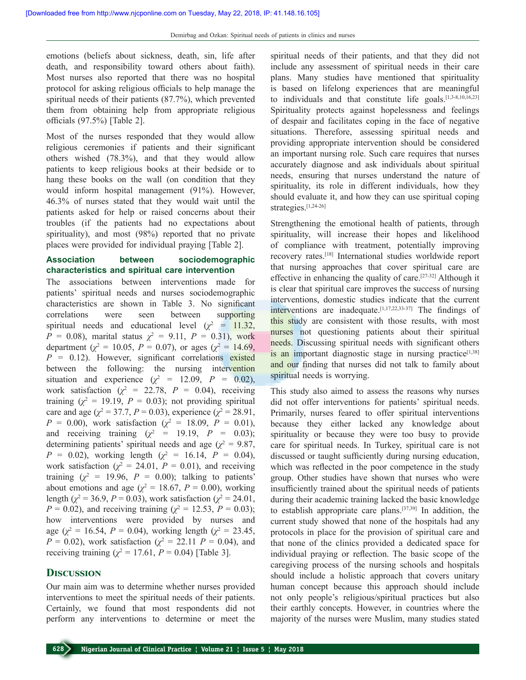emotions (beliefs about sickness, death, sin, life after death, and responsibility toward others about faith). Most nurses also reported that there was no hospital protocol for asking religious officials to help manage the spiritual needs of their patients (87.7%), which prevented them from obtaining help from appropriate religious officials (97.5%) [Table 2].

Most of the nurses responded that they would allow religious ceremonies if patients and their significant others wished (78.3%), and that they would allow patients to keep religious books at their bedside or to hang these books on the wall (on condition that they would inform hospital management (91%). However, 46.3% of nurses stated that they would wait until the patients asked for help or raised concerns about their troubles (if the patients had no expectations about spirituality), and most (98%) reported that no private places were provided for individual praying [Table 2].

#### **Association between sociodemographic characteristics and spiritual care intervention**

The associations between interventions made for patients' spiritual needs and nurses sociodemographic characteristics are shown in Table 3. No significant correlations were seen between supporting spiritual needs and educational level  $(\chi^2 = 11.32)$ , *P* = 0.08), marital status  $\chi^2$  = 9.11, *P* = 0.31), work department ( $\chi^2 = 10.05$ ,  $P = 0.07$ ), or ages ( $\chi^2 = 14.69$ ,  $P = 0.12$ ). However, significant correlations existed between the following: the nursing intervention situation and experience  $(\chi^2 = 12.09, P = 0.02)$ , work satisfaction ( $\chi^2$  = 22.78,  $P$  = 0.04), receiving training  $(\chi^2 = 19.19, P = 0.03)$ ; not providing spiritual care and age ( $\chi^2 = 37.7$ ,  $P = 0.03$ ), experience ( $\chi^2 = 28.91$ , *P* = 0.00), work satisfaction ( $\chi^2$  = 18.09, *P* = 0.01), and receiving training  $(\chi^2 = 19.19, P = 0.03)$ ; determining patients' spiritual needs and age ( $\chi^2 = 9.87$ , *P* = 0.02), working length ( $\chi^2$  = 16.14, *P* = 0.04), work satisfaction ( $\chi^2 = 24.01$ ,  $P = 0.01$ ), and receiving training  $(\chi^2 = 19.96, P = 0.00)$ ; talking to patients' about emotions and age ( $\chi^2 = 18.67$ ,  $P = 0.00$ ), working length ( $\chi^2$  = 36.9, *P* = 0.03), work satisfaction ( $\chi^2$  = 24.01, *P* = 0.02), and receiving training ( $\chi^2$  = 12.53, *P* = 0.03); how interventions were provided by nurses and age ( $\chi^2 = 16.54$ ,  $P = 0.04$ ), working length ( $\chi^2 = 23.45$ , *P* = 0.02), work satisfaction ( $\chi^2$  = 22.11 *P* = 0.04), and receiving training ( $\chi^2 = 17.61$ ,  $P = 0.04$ ) [Table 3].

#### **Discussion**

Our main aim was to determine whether nurses provided interventions to meet the spiritual needs of their patients. Certainly, we found that most respondents did not perform any interventions to determine or meet the spiritual needs of their patients, and that they did not include any assessment of spiritual needs in their care plans. Many studies have mentioned that spirituality is based on lifelong experiences that are meaningful to individuals and that constitute life goals.<sup>[1,3-8,10,16,23]</sup> Spirituality protects against hopelessness and feelings of despair and facilitates coping in the face of negative situations. Therefore, assessing spiritual needs and providing appropriate intervention should be considered an important nursing role. Such care requires that nurses accurately diagnose and ask individuals about spiritual needs, ensuring that nurses understand the nature of spirituality, its role in different individuals, how they should evaluate it, and how they can use spiritual coping strategies.[1,24-26]

Strengthening the emotional health of patients, through spirituality, will increase their hopes and likelihood of compliance with treatment, potentially improving recovery rates.[18] International studies worldwide report that nursing approaches that cover spiritual care are effective in enhancing the quality of care.[27-32] Although it is clear that spiritual care improves the success of nursing interventions, domestic studies indicate that the current interventions are inadequate.[1,17,22,33-37] The findings of this study are consistent with those results, with most nurses not questioning patients about their spiritual needs. Discussing spiritual needs with significant others is an important diagnostic stage in nursing practice<sup>[1,38]</sup> and our finding that nurses did not talk to family about spiritual needs is worrying.

This study also aimed to assess the reasons why nurses did not offer interventions for patients' spiritual needs. Primarily, nurses feared to offer spiritual interventions because they either lacked any knowledge about spirituality or because they were too busy to provide care for spiritual needs. In Turkey, spiritual care is not discussed or taught sufficiently during nursing education, which was reflected in the poor competence in the study group. Other studies have shown that nurses who were insufficiently trained about the spiritual needs of patients during their academic training lacked the basic knowledge to establish appropriate care plans.[37,39] In addition, the current study showed that none of the hospitals had any protocols in place for the provision of spiritual care and that none of the clinics provided a dedicated space for individual praying or reflection. The basic scope of the caregiving process of the nursing schools and hospitals should include a holistic approach that covers unitary human concept because this approach should include not only people's religious/spiritual practices but also their earthly concepts. However, in countries where the majority of the nurses were Muslim, many studies stated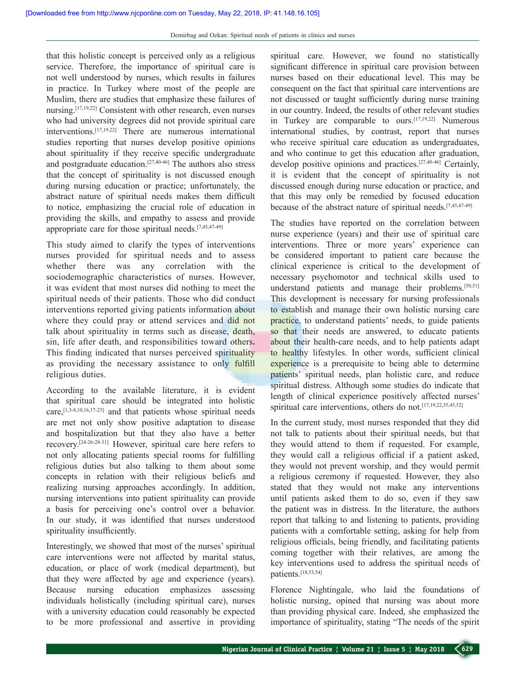that this holistic concept is perceived only as a religious service. Therefore, the importance of spiritual care is not well understood by nurses, which results in failures in practice. In Turkey where most of the people are Muslim, there are studies that emphasize these failures of nursing.[17,19,22] Consistent with other research, even nurses who had university degrees did not provide spiritual care interventions.[17,19,22] There are numerous international studies reporting that nurses develop positive opinions about spirituality if they receive specific undergraduate and postgraduate education.[27,40-46] The authors also stress that the concept of spirituality is not discussed enough during nursing education or practice; unfortunately, the abstract nature of spiritual needs makes them difficult to notice, emphasizing the crucial role of education in providing the skills, and empathy to assess and provide appropriate care for those spiritual needs.[7,45,47-49]

This study aimed to clarify the types of interventions nurses provided for spiritual needs and to assess whether there was any correlation with the sociodemographic characteristics of nurses. However, it was evident that most nurses did nothing to meet the spiritual needs of their patients. Those who did conduct interventions reported giving patients information about where they could pray or attend services and did not talk about spirituality in terms such as disease, death, sin, life after death, and responsibilities toward others**.** This finding indicated that nurses perceived spirituality as providing the necessary assistance to only fulfill religious duties.

According to the available literature, it is evident that spiritual care should be integrated into holistic care,[1,3-8,10,16,17-23] and that patients whose spiritual needs are met not only show positive adaptation to disease and hospitalization but that they also have a better recovery.[24-26-28-31] However, spiritual care here refers to not only allocating patients special rooms for fulfilling religious duties but also talking to them about some concepts in relation with their religious beliefs and realizing nursing approaches accordingly. In addition, nursing interventions into patient spirituality can provide a basis for perceiving one's control over a behavior. In our study, it was identified that nurses understood spirituality insufficiently.

Interestingly, we showed that most of the nurses' spiritual care interventions were not affected by marital status, education, or place of work (medical department), but that they were affected by age and experience (years). Because nursing education emphasizes assessing individuals holistically (including spiritual care), nurses with a university education could reasonably be expected to be more professional and assertive in providing spiritual care. However, we found no statistically significant difference in spiritual care provision between nurses based on their educational level. This may be consequent on the fact that spiritual care interventions are not discussed or taught sufficiently during nurse training in our country. Indeed, the results of other relevant studies in Turkey are comparable to ours.[17,19,22] Numerous international studies, by contrast, report that nurses who receive spiritual care education as undergraduates, and who continue to get this education after graduation, develop positive opinions and practices.[27,40-46] Certainly, it is evident that the concept of spirituality is not discussed enough during nurse education or practice, and that this may only be remedied by focused education because of the abstract nature of spiritual needs.[7,45,47-49]

The studies have reported on the correlation between nurse experience (years) and their use of spiritual care interventions. Three or more years' experience can be considered important to patient care because the clinical experience is critical to the development of necessary psychomotor and technical skills used to understand patients and manage their problems.[50,51] This development is necessary for nursing professionals to establish and manage their own holistic nursing care practice, to understand patients' needs, to guide patients so that their needs are answered, to educate patients about their health-care needs, and to help patients adapt to healthy lifestyles. In other words, sufficient clinical experience is a prerequisite to being able to determine patients' spiritual needs, plan holistic care, and reduce spiritual distress. Although some studies do indicate that length of clinical experience positively affected nurses' spiritual care interventions, others do not.<sup>[17,19,22,35,45,52]</sup>

In the current study, most nurses responded that they did not talk to patients about their spiritual needs, but that they would attend to them if requested. For example, they would call a religious official if a patient asked, they would not prevent worship, and they would permit a religious ceremony if requested. However, they also stated that they would not make any interventions until patients asked them to do so, even if they saw the patient was in distress. In the literature, the authors report that talking to and listening to patients, providing patients with a comfortable setting, asking for help from religious officials, being friendly, and facilitating patients coming together with their relatives, are among the key interventions used to address the spiritual needs of patients.[18,53,54]

Florence Nightingale, who laid the foundations of holistic nursing, opined that nursing was about more than providing physical care. Indeed, she emphasized the importance of spirituality, stating "The needs of the spirit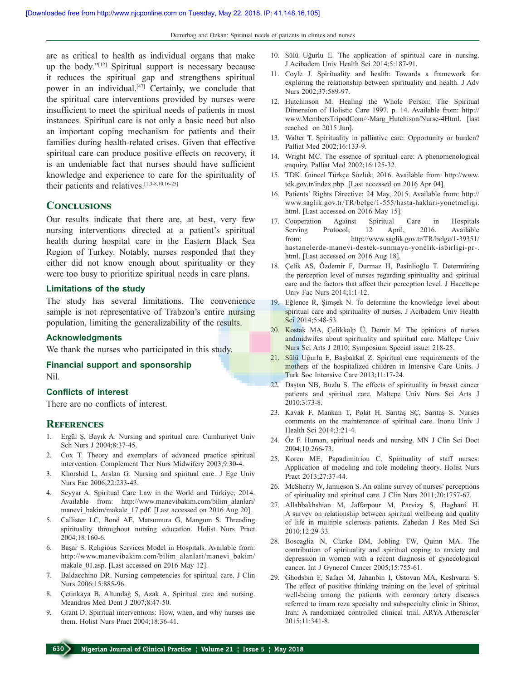are as critical to health as individual organs that make up the body."[12] Spiritual support is necessary because it reduces the spiritual gap and strengthens spiritual power in an individual.[47] Certainly, we conclude that the spiritual care interventions provided by nurses were insufficient to meet the spiritual needs of patients in most instances. Spiritual care is not only a basic need but also an important coping mechanism for patients and their families during health-related crises. Given that effective spiritual care can produce positive effects on recovery, it is an undeniable fact that nurses should have sufficient knowledge and experience to care for the spirituality of their patients and relatives.[1,3-8,10,16-25]

#### **Conclusions**

Our results indicate that there are, at best, very few nursing interventions directed at a patient's spiritual health during hospital care in the Eastern Black Sea Region of Turkey. Notably, nurses responded that they either did not know enough about spirituality or they were too busy to prioritize spiritual needs in care plans.

#### **Limitations of the study**

The study has several limitations. The convenience sample is not representative of Trabzon's entire nursing population, limiting the generalizability of the results.

#### **Acknowledgments**

We thank the nurses who participated in this study.

## **Financial support and sponsorship**

Nil.

#### **Conflicts of interest**

There are no conflicts of interest.

#### **References**

- 1. Ergül Ş, Bayık A. Nursing and spiritual care. Cumhuriyet Univ Sch Nurs J 2004;8:37-45.
- 2. Cox T. Theory and exemplars of advanced practice spiritual intervention. Complement Ther Nurs Midwifery 2003;9:30-4.
- 3. Khorshid L, Arslan G. Nursing and spiritual care. J Ege Univ Nurs Fac 2006;22:233-43.
- 4. Seyyar A. Spiritual Care Law in the World and Türkiye; 2014. Available from: http://www.manevibakim.com/bilim\_alanlari/ manevi\_bakim/makale\_17.pdf. [Last accessed on 2016 Aug 20].
- 5. Callister LC, Bond AE, Matsumura G, Mangum S. Threading spirituality throughout nursing education. Holist Nurs Pract 2004;18:160-6.
- 6. Başar S. Religious Services Model in Hospitals. Available from: http://www.manevibakim.com/bilim\_alanlari/manevi\_bakim/ makale\_01.asp. [Last accessed on 2016 May 12].
- 7. Baldacchino DR. Nursing competencies for spiritual care. J Clin Nurs 2006;15:885-96.
- 8. Çetinkaya B, Altundağ S, Azak A. Spiritual care and nursing. Meandros Med Dent J 2007;8:47-50.
- 9. Grant D. Spiritual interventions: How, when, and why nurses use them. Holist Nurs Pract 2004;18:36-41.
- 10. Sülü Uğurlu E. The application of spiritual care in nursing. J Acibadem Univ Health Sci 2014;5:187-91.
- 11. Coyle J. Spirituality and health: Towards a framework for exploring the relationship between spirituality and health. J Adv Nurs 2002;37:589-97.
- 12. Hutchinson M. Healing the Whole Person: The Spiritual Dimension of Holistic Care 1997. p. 14. Available from: http:// www.MembersTripodCom/~Marg\_Hutchison/Nurse-4Html. [last reached on 2015 Jun].
- 13. Walter T. Spirituality in palliative care: Opportunity or burden? Palliat Med 2002;16:133-9.
- 14. Wright MC. The essence of spiritual care: A phenomenological enquiry. Palliat Med 2002;16:125-32.
- 15. TDK. Güncel Türkçe Sözlük; 2016. Available from: http://www. tdk.gov.tr/index.php. [Last accessed on 2016 Apr 04].
- 16. Patients' Rights Directive; 24 May, 2015. Available from: http:// www.saglik.gov.tr/TR/belge/1-555/hasta-haklari-yonetmeligi. html. [Last accessed on 2016 May 15].
- 17. Cooperation Against Spiritual Care in Hospitals Serving Protocol; 12 April, 2016. Available from: http://www.saglik.gov.tr/TR/belge/1-39351/ hastanelerde-manevi-destek-sunmaya-yonelik-isbirligi-pr-. html. [Last accessed on 2016 Aug 18].
- 18. Çelik AS, Özdemir F, Durmaz H, Pasinlioğlu T. Determining the perception level of nurses regarding spirituality and spiritual care and the factors that affect their perception level. J Hacettepe Univ Fac Nurs 2014;1:1-12.
- 19. Eğlence R, Şimşek N. To determine the knowledge level about spiritual care and spirituality of nurses. J Acibadem Univ Health Sci 2014;5:48-53.
- 20. Kostak MA, Çelikkalp Ü, Demir M. The opinions of nurses andmidwifes about spirituality and spiritual care. Maltepe Univ Nurs Sci Arts J 2010; Symposium Special issue: 218-25.
- 21. Sülü Uğurlu E, Başbakkal Z. Spiritual care requirements of the mothers of the hospitalized children in Intensive Care Units. J Turk Soc Intensive Care 2013;11:17-24.
- 22. Daştan NB, Buzlu S. The effects of spirituality in breast cancer patients and spiritual care. Maltepe Univ Nurs Sci Arts J 2010;3:73-8.
- 23. Kavak F, Mankan T, Polat H, Sarıtaş SÇ, Sarıtaş S. Nurses comments on the maintenance of spiritual care. Inonu Univ J Health Sci 2014;3:21-4.
- 24. Öz F. Human, spiritual needs and nursing. MN J Clin Sci Doct 2004;10:266-73.
- 25. Koren ME, Papadimitriou C. Spirituality of staff nurses: Application of modeling and role modeling theory. Holist Nurs Pract 2013;27:37-44.
- 26. McSherry W, Jamieson S. An online survey of nurses' perceptions of spirituality and spiritual care. J Clin Nurs 2011;20:1757-67.
- 27. Allahbakhshian M, Jaffarpour M, Parvizy S, Haghani H. A survey on relationship between spiritual wellbeing and quality of life in multiple sclerosis patients. Zahedan J Res Med Sci 2010;12:29-33.
- 28. Boscaglia N, Clarke DM, Jobling TW, Quinn MA. The contribution of spirituality and spiritual coping to anxiety and depression in women with a recent diagnosis of gynecological cancer. Int J Gynecol Cancer 2005;15:755-61.
- 29. Ghodsbin F, Safaei M, Jahanbin I, Ostovan MA, Keshvarzi S. The effect of positive thinking training on the level of spiritual well-being among the patients with coronary artery diseases referred to imam reza specialty and subspecialty clinic in Shiraz, Iran: A randomized controlled clinical trial. ARYA Atheroscler 2015;11:341-8.